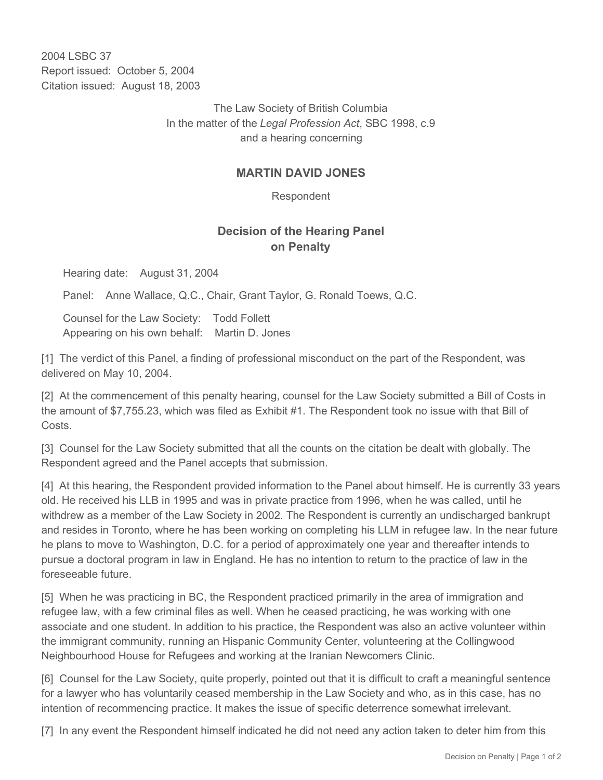2004 LSBC 37 Report issued: October 5, 2004 Citation issued: August 18, 2003

> The Law Society of British Columbia In the matter of the *Legal Profession Act*, SBC 1998, c.9 and a hearing concerning

## **MARTIN DAVID JONES**

Respondent

## **Decision of the Hearing Panel on Penalty**

Hearing date: August 31, 2004

Panel: Anne Wallace, Q.C., Chair, Grant Taylor, G. Ronald Toews, Q.C.

Counsel for the Law Society: Todd Follett Appearing on his own behalf: Martin D. Jones

[1] The verdict of this Panel, a finding of professional misconduct on the part of the Respondent, was delivered on May 10, 2004.

[2] At the commencement of this penalty hearing, counsel for the Law Society submitted a Bill of Costs in the amount of \$7,755.23, which was filed as Exhibit #1. The Respondent took no issue with that Bill of Costs.

[3] Counsel for the Law Society submitted that all the counts on the citation be dealt with globally. The Respondent agreed and the Panel accepts that submission.

[4] At this hearing, the Respondent provided information to the Panel about himself. He is currently 33 years old. He received his LLB in 1995 and was in private practice from 1996, when he was called, until he withdrew as a member of the Law Society in 2002. The Respondent is currently an undischarged bankrupt and resides in Toronto, where he has been working on completing his LLM in refugee law. In the near future he plans to move to Washington, D.C. for a period of approximately one year and thereafter intends to pursue a doctoral program in law in England. He has no intention to return to the practice of law in the foreseeable future.

[5] When he was practicing in BC, the Respondent practiced primarily in the area of immigration and refugee law, with a few criminal files as well. When he ceased practicing, he was working with one associate and one student. In addition to his practice, the Respondent was also an active volunteer within the immigrant community, running an Hispanic Community Center, volunteering at the Collingwood Neighbourhood House for Refugees and working at the Iranian Newcomers Clinic.

[6] Counsel for the Law Society, quite properly, pointed out that it is difficult to craft a meaningful sentence for a lawyer who has voluntarily ceased membership in the Law Society and who, as in this case, has no intention of recommencing practice. It makes the issue of specific deterrence somewhat irrelevant.

[7] In any event the Respondent himself indicated he did not need any action taken to deter him from this